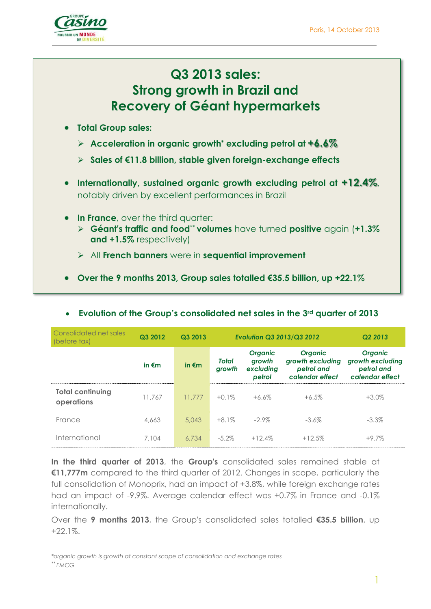

# **Q3 2013 sales: Strong growth in Brazil and Recovery of Géant hypermarkets**

- **Total Group sales:** 
	- **Acceleration in organic growth\* excluding petrol at +6.6%**
	- **Sales of €11.8 billion, stable given foreign-exchange effects**
- **Internationally, sustained organic growth excluding petrol at +12.4%**, notably driven by excellent performances in Brazil
- **In France**, over the third quarter:
	- **Géant's traffic and food**\*\* **volumes** have turned **positive** again (**+1.3% and +1.5%** respectively)
	- All **French banners** were in **sequential improvement**
- **Over the 9 months 2013, Group sales totalled €35.5 billion, up +22.1%**

| Consolidated net sales<br>(before tax) | Q3 2012         | Q3 2013         | <b>Evolution Q3 2013/Q3 2012</b> |                                                 |                                                                     | Q <sub>2</sub> 2013                                                 |  |
|----------------------------------------|-----------------|-----------------|----------------------------------|-------------------------------------------------|---------------------------------------------------------------------|---------------------------------------------------------------------|--|
|                                        | in $\epsilon$ m | in $\epsilon$ m | <b>Total</b><br>arowth           | <b>Organic</b><br>growth<br>excluding<br>petrol | <b>Organic</b><br>growth excluding<br>petrol and<br>calendar effect | <b>Organic</b><br>growth excluding<br>petrol and<br>calendar effect |  |
| <b>Total continuing</b><br>operations  | 11.767          | 11.777          | $+0.1\%$                         | $+6.6\%$                                        | $+6.5\%$                                                            | $+3.0\%$                                                            |  |
| France                                 | 4,663           | 5.043           | $+8.1\%$                         | $-2.9\%$                                        | $-3.6\%$                                                            | $-3.3\%$                                                            |  |
| International                          | 7.104           | 6.734           | $-5.2\%$                         | $+12.4%$                                        | $+12.5%$                                                            | $+9.7%$                                                             |  |

#### **Evolution of the Group's consolidated net sales in the 3rd quarter of 2013**

**In the third quarter of 2013**, the **Group's** consolidated sales remained stable at **€11,777m** compared to the third quarter of 2012. Changes in scope, particularly the full consolidation of Monoprix, had an impact of +3.8%, while foreign exchange rates had an impact of -9.9%. Average calendar effect was +0.7% in France and -0.1% internationally.

Over the **9 months 2013**, the Group's consolidated sales totalled **€35.5 billion**, up +22.1%.

*\*organic growth is growth at constant scope of consolidation and exchange rates \*\* FMCG*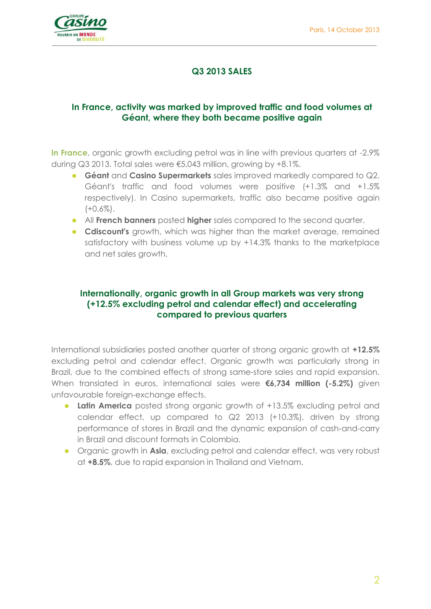

### **Q3 2013 SALES**

#### **In France, activity was marked by improved traffic and food volumes at Géant, where they both became positive again**

**In France**, organic growth excluding petrol was in line with previous quarters at -2.9% during Q3 2013. Total sales were €5,043 million, growing by +8.1%.

- **Géant** and **Casino Supermarkets** sales improved markedly compared to Q2. Géant's traffic and food volumes were positive (+1.3% and +1.5% respectively). In Casino supermarkets, traffic also became positive again  $(+0.6\%)$ .
- All **French banners** posted **higher** sales compared to the second quarter.
- **Cdiscount's** growth, which was higher than the market average, remained satisfactory with business volume up by +14.3% thanks to the marketplace and net sales growth.

#### **Internationally, organic growth in all Group markets was very strong (+12.5% excluding petrol and calendar effect) and accelerating compared to previous quarters**

International subsidiaries posted another quarter of strong organic growth at **+12.5%** excluding petrol and calendar effect. Organic growth was particularly strong in Brazil, due to the combined effects of strong same-store sales and rapid expansion. When translated in euros, international sales were **€6,734 million (-5.2%)** given unfavourable foreign-exchange effects.

- **Latin America** posted strong organic growth of +13.5% excluding petrol and calendar effect, up compared to Q2 2013 (+10.3%), driven by strong performance of stores in Brazil and the dynamic expansion of cash-and-carry in Brazil and discount formats in Colombia.
- Organic growth in **Asia**, excluding petrol and calendar effect, was very robust at **+8.5%**, due to rapid expansion in Thailand and Vietnam.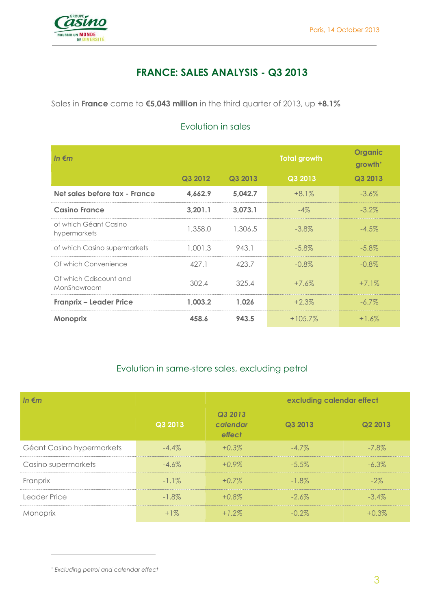

## **FRANCE: SALES ANALYSIS - Q3 2013**

Sales in **France** came to **€5,043 million** in the third quarter of 2013, up **+8.1%**

| In $\epsilon$ m                       |         |         | <b>Total growth</b> | <b>Organic</b><br>growth <sup>*</sup> |
|---------------------------------------|---------|---------|---------------------|---------------------------------------|
|                                       | Q3 2012 | Q3 2013 | Q3 2013             | Q3 2013                               |
| Net sales before tax - France         | 4,662.9 | 5,042.7 | $+8.1\%$            | $-3.6\%$                              |
| <b>Casino France</b>                  | 3,201.1 | 3,073.1 | $-4\%$              | $-3.2\%$                              |
| of which Géant Casino<br>hypermarkets | 1,358.0 | 1,306.5 | $-3.8\%$            | $-4.5\%$                              |
| of which Casino supermarkets          | 1,001.3 | 943.1   | $-5.8\%$            | $-5.8\%$                              |
| Of which Convenience                  | 427.1   | 423.7   | $-0.8\%$            | $-0.8\%$                              |
| Of which Cdiscount and<br>MonShowroom | 302.4   | 325.4   | $+7.6\%$            | $+7.1\%$                              |
| <b>Franprix - Leader Price</b>        | 1.003.2 | 1,026   | $+2.3\%$            | $-6.7\%$                              |
| <b>Monoprix</b>                       | 458.6   | 943.5   | $+105.7\%$          | $+1.6\%$                              |

### Evolution in sales

#### Evolution in same-store sales, excluding petrol

| In $\epsilon$ m           |          |                               | excluding calendar effect |          |
|---------------------------|----------|-------------------------------|---------------------------|----------|
|                           | Q3 2013  | Q3 2013<br>calendar<br>effect | Q3 2013                   | Q2 2013  |
| Géant Casino hypermarkets | $-4.4\%$ | $+0.3\%$                      | $-4.7\%$                  | $-7.8\%$ |
| Casino supermarkets       | $-4.6\%$ | $+0.9\%$                      | $-5.5\%$                  | $-6.3\%$ |
| Franprix                  | $-1.1\%$ | $+0.7\%$                      | $-1.8\%$                  | $-2\%$   |
| Leader Price              | $-1.8\%$ | $+0.8\%$                      | $-2.6\%$                  | $-3.4\%$ |
| Monoprix                  | $+1\%$   | $+1.2\%$                      | $-0.2\%$                  | $+0.3%$  |

 $\overline{a}$ 

<sup>\*</sup> *Excluding petrol and calendar effect*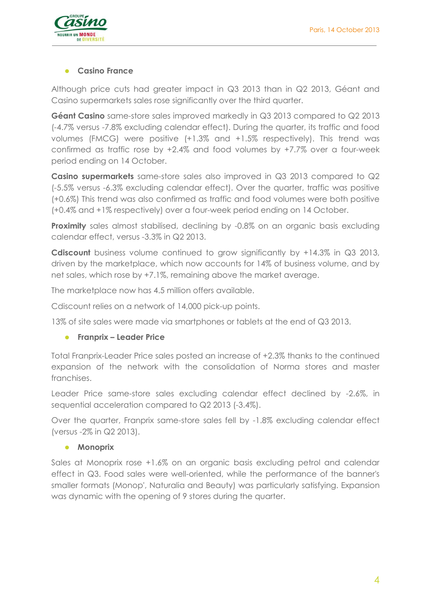

#### **Casino France**

Although price cuts had greater impact in Q3 2013 than in Q2 2013, Géant and Casino supermarkets sales rose significantly over the third quarter.

**Géant Casino** same-store sales improved markedly in Q3 2013 compared to Q2 2013 (-4.7% versus -7.8% excluding calendar effect). During the quarter, its traffic and food volumes (FMCG) were positive (+1.3% and +1.5% respectively). This trend was confirmed as traffic rose by +2.4% and food volumes by +7.7% over a four-week period ending on 14 October.

**Casino supermarkets** same-store sales also improved in Q3 2013 compared to Q2 (-5.5% versus -6.3% excluding calendar effect). Over the quarter, traffic was positive (+0.6%) This trend was also confirmed as traffic and food volumes were both positive (+0.4% and +1% respectively) over a four-week period ending on 14 October.

**Proximity** sales almost stabilised, declining by -0.8% on an organic basis excluding calendar effect, versus -3.3% in Q2 2013.

**Cdiscount** business volume continued to grow significantly by +14.3% in Q3 2013, driven by the marketplace, which now accounts for 14% of business volume, and by net sales, which rose by +7.1%, remaining above the market average.

The marketplace now has 4.5 million offers available.

Cdiscount relies on a network of 14,000 pick-up points.

13% of site sales were made via smartphones or tablets at the end of Q3 2013.

#### **Franprix – Leader Price**

Total Franprix-Leader Price sales posted an increase of +2.3% thanks to the continued expansion of the network with the consolidation of Norma stores and master franchises.

Leader Price same-store sales excluding calendar effect declined by -2.6%, in sequential acceleration compared to Q2 2013 (-3.4%).

Over the quarter, Franprix same-store sales fell by -1.8% excluding calendar effect (versus -2% in Q2 2013).

#### **•** Monoprix

Sales at Monoprix rose +1.6% on an organic basis excluding petrol and calendar effect in Q3. Food sales were well-oriented, while the performance of the banner's smaller formats (Monop', Naturalia and Beauty) was particularly satisfying. Expansion was dynamic with the opening of 9 stores during the quarter.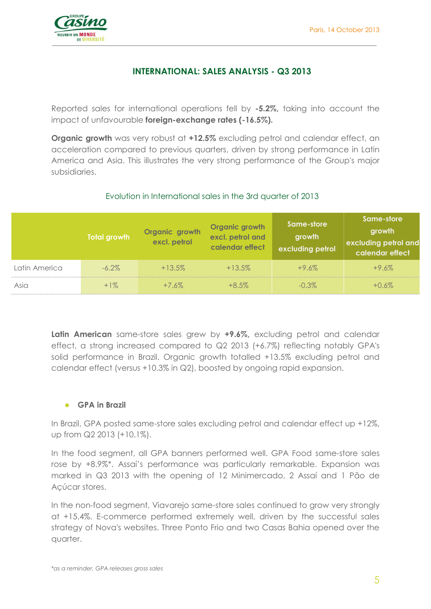

### **INTERNATIONAL: SALES ANALYSIS - Q3 2013**

Reported sales for international operations fell by **-5.2%,** taking into account the impact of unfavourable **foreign-exchange rates (-16.5%).**

**Organic growth** was very robust at **+12.5%** excluding petrol and calendar effect, an acceleration compared to previous quarters, driven by strong performance in Latin America and Asia. This illustrates the very strong performance of the Group's major subsidiaries.

#### Evolution in International sales in the 3rd quarter of 2013

|               | Total growth | Organic growth<br>excl. petrol | Organic growth<br>excl. petrol and<br>calendar effect | Same-store<br>growth<br>excluding petrol | Same-store<br>growth<br>excluding petrol and<br>calendar effect |
|---------------|--------------|--------------------------------|-------------------------------------------------------|------------------------------------------|-----------------------------------------------------------------|
| Latin America | $-6.2\%$     | $+13.5\%$                      | $+13.5\%$                                             | $+9.6%$                                  | $+9.6%$                                                         |
| Asia          | $+1\%$       | $+7.6\%$                       | $+8.5\%$                                              | $-0.3\%$                                 | $+0.6\%$                                                        |

**Latin American** same-store sales grew by **+9.6%,** excluding petrol and calendar effect, a strong increased compared to Q2 2013 (+6.7%) reflecting notably GPA's solid performance in Brazil. Organic growth totalled +13.5% excluding petrol and calendar effect (versus +10.3% in Q2), boosted by ongoing rapid expansion.

#### **GPA in Brazil**

In Brazil, GPA posted same-store sales excluding petrol and calendar effect up +12%, up from Q2 2013 (+10.1%).

In the food segment, all GPA banners performed well. GPA Food same-store sales rose by +8.9%\*. Assaí's performance was particularly remarkable. Expansion was marked in Q3 2013 with the opening of 12 Minimercado, 2 Assaí and 1 Pão de Açúcar stores.

In the non-food segment, Viavarejo same-store sales continued to grow very strongly at +15.4%. E-commerce performed extremely well, driven by the successful sales strategy of Nova's websites. Three Ponto Frio and two Casas Bahia opened over the quarter.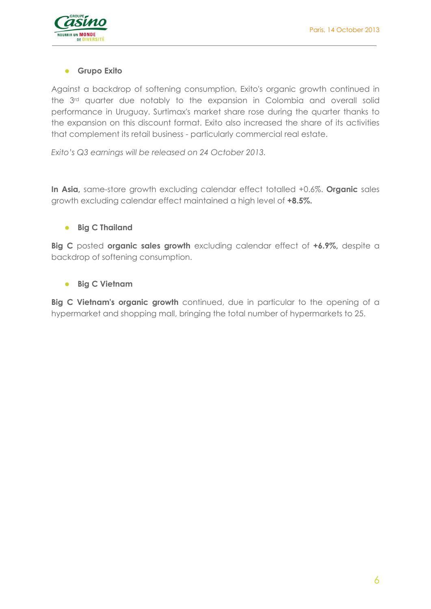

#### **Grupo Exito**

Against a backdrop of softening consumption, Exito's organic growth continued in the 3rd quarter due notably to the expansion in Colombia and overall solid performance in Uruguay. Surtimax's market share rose during the quarter thanks to the expansion on this discount format. Exito also increased the share of its activities that complement its retail business - particularly commercial real estate.

*Exito's Q3 earnings will be released on 24 October 2013.*

**In Asia,** same-store growth excluding calendar effect totalled +0.6%. **Organic** sales growth excluding calendar effect maintained a high level of **+8.5%.** 

#### **•** Big C Thailand

**Big C** posted **organic sales growth** excluding calendar effect of **+6.9%,** despite a backdrop of softening consumption.

**Big C Vietnam**

**Big C Vietnam's organic growth** continued, due in particular to the opening of a hypermarket and shopping mall, bringing the total number of hypermarkets to 25.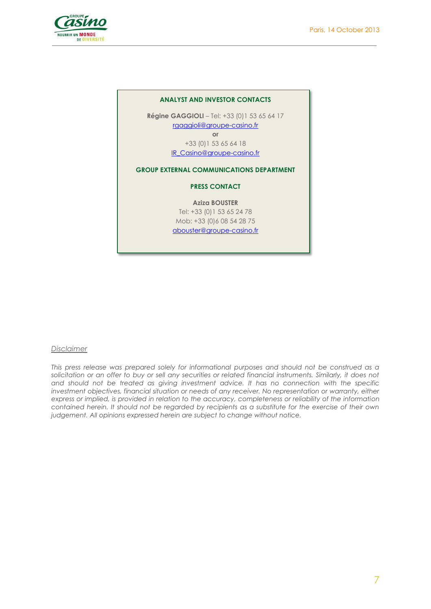

| <b>ANALYST AND INVESTOR CONTACTS</b>                 |
|------------------------------------------------------|
| <b>Régine GAGGIOLI</b> - Tel: $+33$ (0)1 53 65 64 17 |
| rgaggioli@groupe-casino.fr                           |
| or                                                   |
| +33 (0) 1 53 65 64 18                                |
| IR Casino@groupe-casino.fr                           |
| <b>GROUP EXTERNAL COMMUNICATIONS DEPARTMENT</b>      |
| <b>PRESS CONTACT</b>                                 |
| <b>Aziza BOUSTER</b>                                 |
| Tel: +33 (0) 1 53 65 24 78                           |
| Mob: +33 (0) 6 08 54 28 75                           |
| abouster@groupe-casino.fr                            |

#### *Disclaimer*

*This press release was prepared solely for informational purposes and should not be construed as a*  solicitation or an offer to buy or sell any securities or related financial instruments. Similarly, it does not *and should not be treated as giving investment advice. It has no connection with the specific investment objectives, financial situation or needs of any receiver. No representation or warranty, either express or implied, is provided in relation to the accuracy, completeness or reliability of the information contained herein. It should not be regarded by recipients as a substitute for the exercise of their own judgement. All opinions expressed herein are subject to change without notice.*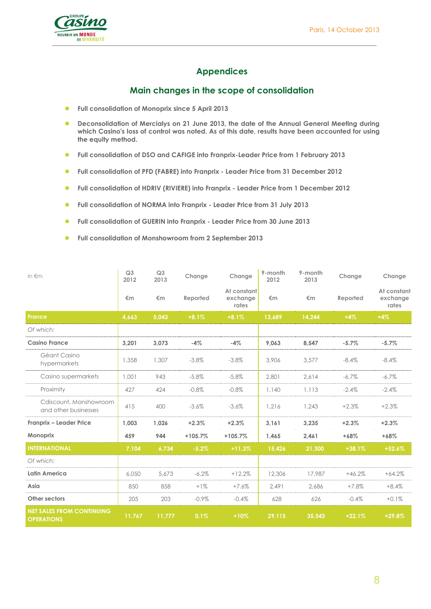

### **Appendices**

#### **Main changes in the scope of consolidation**

- **Full consolidation of Monoprix since 5 April 2013**
- **Deconsolidation of Mercialys on 21 June 2013, the date of the Annual General Meeting during which Casino's loss of control was noted. As of this date, results have been accounted for using the equity method.**
- **•** Full consolidation of DSO and CAFIGE into Franprix-Leader Price from 1 February 2013
- **Full consolidation of PFD (FABRE) into Franprix - Leader Price from 31 December 2012**
- **Full consolidation of HDRIV (RIVIERE) into Franprix - Leader Price from 1 December 2012**
- **Full consolidation of NORMA into Franprix - Leader Price from 31 July 2013**
- **Full consolidation of GUERIN into Franprix - Leader Price from 30 June 2013**
- **Full consolidation of Monshowroom from 2 September 2013**

| in $\notin$ m                                         | Q <sub>3</sub><br>2012 | Q <sub>3</sub><br>2013 | Change    | Change                           | 9-month<br>2012 | 9-month<br>2013 | Change   | Change                           |
|-------------------------------------------------------|------------------------|------------------------|-----------|----------------------------------|-----------------|-----------------|----------|----------------------------------|
|                                                       | €m                     | €m                     | Reported  | At constant<br>exchange<br>rates | €m              | €m              | Reported | At constant<br>exchange<br>rates |
| <b>France</b>                                         | 4.663                  | 5.043                  | $+8.1%$   | $+8.1%$                          | 13.689          | 14.244          | $+4%$    | $+4%$                            |
| Of which:                                             |                        |                        |           |                                  |                 |                 |          |                                  |
| <b>Casino France</b>                                  | 3.201                  | 3.073                  | $-4%$     | $-4%$                            | 9.063           | 8.547           | $-5.7%$  | $-5.7%$                          |
| Géant Casino<br>hypermarkets                          | 1,358                  | 1,307                  | $-3.8%$   | $-3.8%$                          | 3,906           | 3,577           | $-8.4%$  | $-8.4%$                          |
| Casino supermarkets                                   | 1,001                  | 943                    | $-5.8\%$  | $-5.8\%$                         | 2,801           | 2,614           | $-6.7\%$ | $-6.7\%$                         |
| Proximity                                             | 427                    | 424                    | $-0.8%$   | $-0.8%$                          | 1,140           | 1,113           | $-2.4%$  | $-2.4%$                          |
| Cdiscount. Monshowroom<br>and other businesses        | 415                    | 400                    | $-3.6%$   | $-3.6%$                          | 1,216           | 1,243           | $+2.3%$  | $+2.3%$                          |
| Franprix - Leader Price                               | 1.003                  | 1,026                  | $+2.3%$   | $+2.3%$                          | 3,161           | 3,235           | $+2.3%$  | $+2.3%$                          |
| <b>Monoprix</b>                                       | 459                    | 944                    | $+105.7%$ | $+105.7%$                        | 1,465           | 2,461           | $+68%$   | $+68%$                           |
| <b>INTERNATIONAL</b>                                  | 7,104                  | 6,734                  | $-5.2%$   | $+11.3%$                         | 15,426          | 21.300          | $+38.1%$ | $+52.6%$                         |
| Of which:                                             |                        |                        |           |                                  |                 |                 |          |                                  |
| Latin America                                         | 6.050                  | 5,673                  | $-6.2\%$  | $+12.2%$                         | 12,306          | 17.987          | $+46.2%$ | $+64.2%$                         |
| Asia                                                  | 850                    | 858                    | $+1\%$    | $+7.6%$                          | 2.491           | 2.686           | $+7.8%$  | $+8.4%$                          |
| Other sectors                                         | 205                    | 203                    | $-0.9\%$  | $-0.4%$                          | 628             | 626             | $-0.4%$  | $+0.1%$                          |
| <b>NET SALES FROM CONTINUING</b><br><b>OPERATIONS</b> | 11,767                 | 11,777                 | 0.1%      | $+10%$                           | 29,115          | 35,543          | $+22.1%$ | $+29.8%$                         |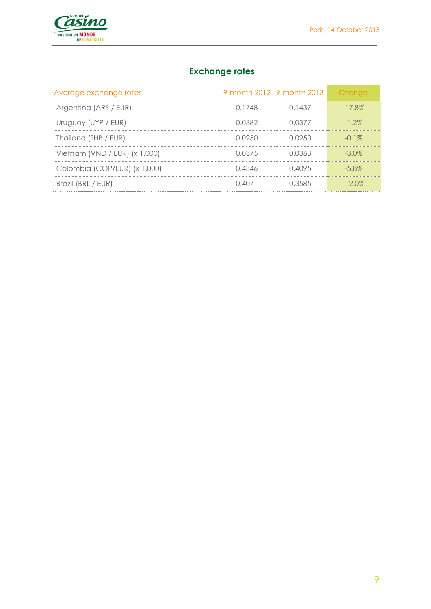

## **Exchange rates**

| Average exchange rates        |         | 9-month 2012 9-month 2013 | Change    |
|-------------------------------|---------|---------------------------|-----------|
| Argentina (ARS / EUR)         | 0.1748  | 0 1 4 3 7                 | $-17.8\%$ |
| Uruguay (UYP / EUR)           | O 0382  | 0.0377                    | $-1.2\%$  |
| Thailand (THB / EUR)          | O 02.50 | 0.0250                    | $-0.1\%$  |
| Vietnam (VND / EUR) (x 1,000) | 0.0375  | 0.0363                    | $-3.0\%$  |
| Colombia (COP/EUR) (x 1,000)  | 0.4346  | 0.4095                    | $-5.8\%$  |
| Brazil (BRL / EUR)            | 0.4071  | U 3585                    | $-12.0\%$ |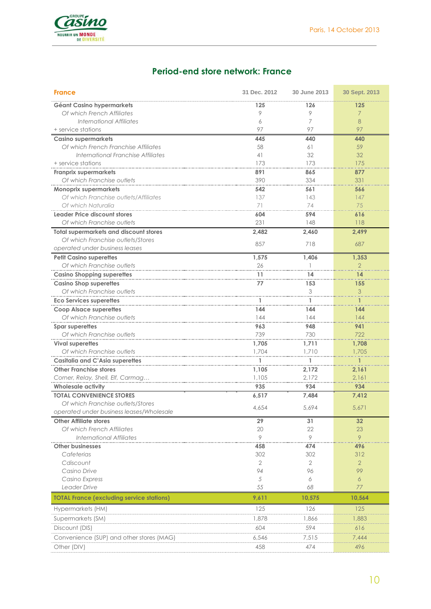

### **Period-end store network: France**

| <b>France</b>                                    | 31 Dec. 2012   | 30 June 2013 | 30 Sept. 2013  |
|--------------------------------------------------|----------------|--------------|----------------|
| Géant Casino hypermarkets                        | 125            | 126          | 125            |
| Of which French Affiliates                       | 9              | 9            | 7              |
| International Affiliates                         | 6              | 7            | 8              |
| + service stations                               | 97             | 97           | 97             |
| <b>Casino supermarkets</b>                       | 445            | 440          | 440            |
| Of which French Franchise Affiliates             | 58             | 61           | 59             |
| International Franchise Affiliates               | 41             | 32           | 32             |
| + service stations                               | 173            | 173          | 175            |
| <b>Franprix supermarkets</b>                     | 891            | 865          | 877            |
| Of which Franchise outlets                       | 390            | 334          | 331            |
| <b>Monoprix supermarkets</b>                     | 542            | 561          | 566            |
| Of which Franchise outlets/Affiliates            | 137            | 143          | 147            |
| Of which Naturalia                               | 71             | 74           | 75             |
| Leader Price discount stores                     | 604            | 594          | 616            |
| Of which Franchise outlets                       | 231            | 148          | 118            |
| <b>Total supermarkets and discount stores</b>    | 2,482          | 2,460        | 2,499          |
| Of which Franchise outlets/Stores                |                |              |                |
| operated under business leases                   | 857            | 718          | 687            |
| <b>Petit Casino superettes</b>                   | 1,575          | 1,406        | 1,353          |
| Of which Franchise outlets                       | 26             |              | 2              |
| <b>Casino Shopping superettes</b>                | 11             | 14           | 14             |
| <b>Casino Shop superettes</b>                    | 77             | 153          | 155            |
| Of which Franchise outlets                       |                | 3            | 3              |
| <b>Eco Services superettes</b>                   | 1              | 1            |                |
| <b>Coop Alsace superettes</b>                    | 144            | 144          | 144            |
| Of which Franchise outlets                       | 144            | 144          | 144            |
| Spar superettes                                  | 963            | 948          | 941            |
| Of which Franchise outlets                       | 739            | 730          | 722            |
| <b>Vival superettes</b>                          | 1,705          | 1,711        | 1,708          |
| Of which Franchise outlets                       | 1,704          | 1,710        | 1,705          |
| <b>Casitalia and C'Asia superettes</b>           |                |              |                |
| <b>Other Franchise stores</b>                    | 1,105          | 2,172        | 2,161          |
| Corner, Relay, Shell, Elf, Carmag                | 1,105          | 2,172        | 2,161          |
| <b>Wholesale activity</b>                        | 935            | 934          | 934            |
| <b>TOTAL CONVENIENCE STORES</b>                  | 6,517          | 7,484        | 7,412          |
| Of which Franchise outlets/Stores                |                |              |                |
| operated under business leases/Wholesale         | 4,654          | 5,694        | 5,671          |
| <b>Other Affiliate stores</b>                    | 29             | 31           | 32             |
| Of which French Affiliates                       | 20             | 22           | 23             |
| <b>International Affiliates</b>                  | 9              | 9            | 9              |
| <b>Other businesses</b>                          | 458            | 474          | 496            |
| Cafeterias                                       | 302            | 302          | 312            |
| Cdiscount                                        | $\overline{2}$ | 2            | $\overline{2}$ |
| Casino Drive                                     | 94             | 96           | 99             |
| Casino Express                                   | 5              | 6            | 6              |
| Leader Drive                                     | 55             | 68           | 77             |
| <b>TOTAL France (excluding service stations)</b> | 9,611          | 10,575       | 10,564         |
| Hypermarkets (HM)                                | 125            | 126          | 125            |
| Supermarkets (SM)                                | 1,878          | 1,866        | 1,883          |
| Discount (DIS)                                   | 604            | 594          | 616            |
|                                                  |                |              |                |
| Convenience (SUP) and other stores (MAG)         | 6,546          | 7,515        | 7,444          |
| Other (DIV)                                      | 458            | 474          | 496            |